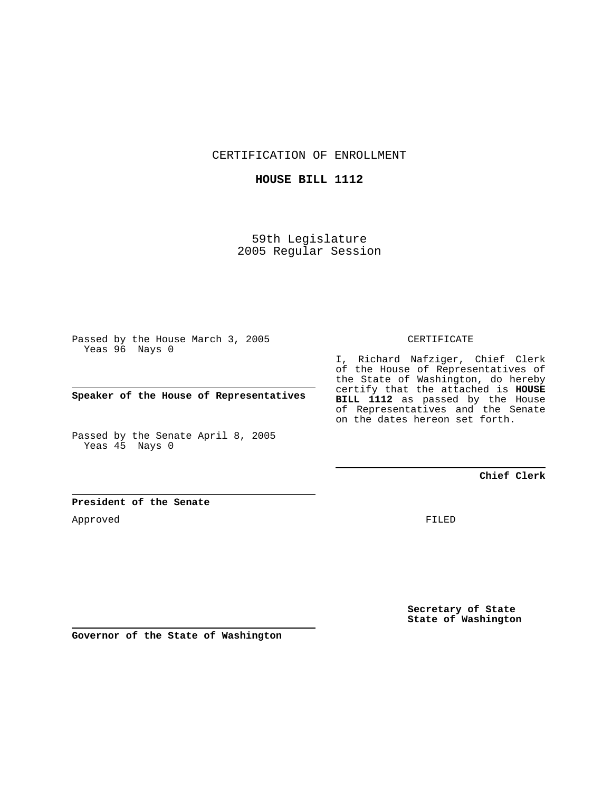CERTIFICATION OF ENROLLMENT

## **HOUSE BILL 1112**

59th Legislature 2005 Regular Session

Passed by the House March 3, 2005 Yeas 96 Nays 0

**Speaker of the House of Representatives**

Passed by the Senate April 8, 2005 Yeas 45 Nays 0

#### CERTIFICATE

I, Richard Nafziger, Chief Clerk of the House of Representatives of the State of Washington, do hereby certify that the attached is **HOUSE BILL 1112** as passed by the House of Representatives and the Senate on the dates hereon set forth.

### **Chief Clerk**

#### **President of the Senate**

Approved

FILED

**Secretary of State State of Washington**

**Governor of the State of Washington**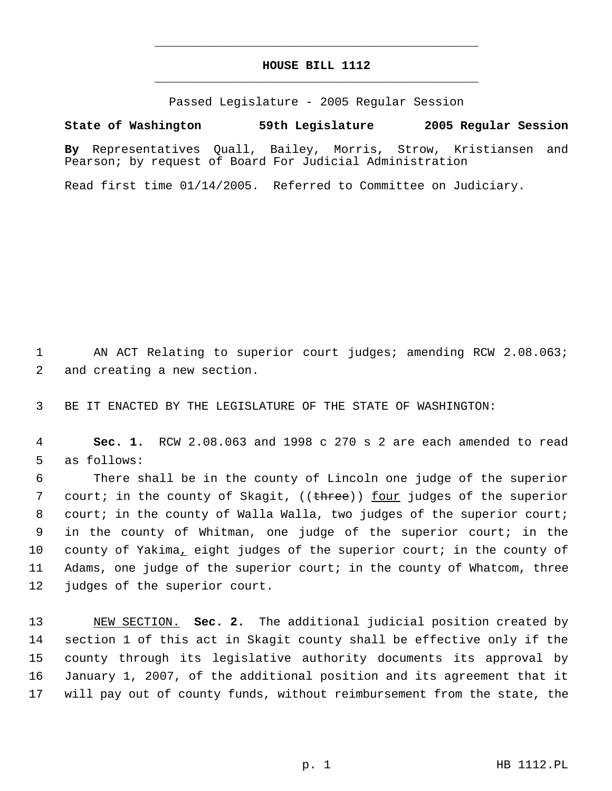# **HOUSE BILL 1112** \_\_\_\_\_\_\_\_\_\_\_\_\_\_\_\_\_\_\_\_\_\_\_\_\_\_\_\_\_\_\_\_\_\_\_\_\_\_\_\_\_\_\_\_\_

\_\_\_\_\_\_\_\_\_\_\_\_\_\_\_\_\_\_\_\_\_\_\_\_\_\_\_\_\_\_\_\_\_\_\_\_\_\_\_\_\_\_\_\_\_

Passed Legislature - 2005 Regular Session

**State of Washington 59th Legislature 2005 Regular Session**

**By** Representatives Quall, Bailey, Morris, Strow, Kristiansen and Pearson; by request of Board For Judicial Administration

Read first time 01/14/2005. Referred to Committee on Judiciary.

1 AN ACT Relating to superior court judges; amending RCW 2.08.063; 2 and creating a new section.

3 BE IT ENACTED BY THE LEGISLATURE OF THE STATE OF WASHINGTON:

 4 **Sec. 1.** RCW 2.08.063 and 1998 c 270 s 2 are each amended to read 5 as follows:

 There shall be in the county of Lincoln one judge of the superior 7 court; in the county of Skagit, ((<del>three</del>)) <u>four</u> judges of the superior court; in the county of Walla Walla, two judges of the superior court; in the county of Whitman, one judge of the superior court; in the county of Yakima, eight judges of the superior court; in the county of Adams, one judge of the superior court; in the county of Whatcom, three judges of the superior court.

 NEW SECTION. **Sec. 2.** The additional judicial position created by section 1 of this act in Skagit county shall be effective only if the county through its legislative authority documents its approval by January 1, 2007, of the additional position and its agreement that it will pay out of county funds, without reimbursement from the state, the